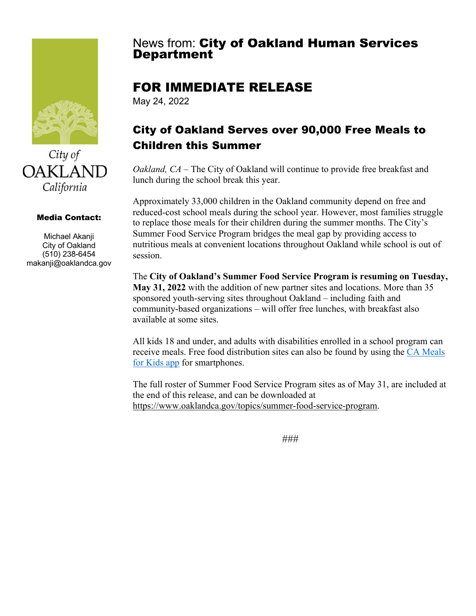

City of **OAKLAND** California

#### Media Contact:

Michael Akanji City of Oakland (510) 238-6454 makanji@oaklandca.gov

# **News from: City of Oakland Human Services<br>Department**

## FOR IMMEDIATE RELEASE

May 24, 2022

## City of Oakland Serves over 90,000 Free Meals to Children this Summer

*Oakland, CA* – The City of Oakland will continue to provide free breakfast and lunch during the school break this year.

Approximately 33,000 children in the Oakland community depend on free and reduced-cost school meals during the school year. However, most families struggle to replace those meals for their children during the summer months. The City's Summer Food Service Program bridges the meal gap by providing access to nutritious meals at convenient locations throughout Oakland while school is out of session.

The **City of Oakland's Summer Food Service Program is resuming on Tuesday, May 31, 2022** with the addition of new partner sites and locations. More than 35 sponsored youth-serving sites throughout Oakland – including faith and community-based organizations – will offer free lunches, with breakfast also available at some sites.

All kids 18 and under, and adults with disabilities enrolled in a school program can receive meals. Free food distribution sites can also be found by using the CA Meals for Kids app for smartphones.

The full roster of Summer Food Service Program sites as of May 31, are included at the end of this release, and can be downloaded at https://www.oaklandca.gov/topics/summer-food-service-program.

###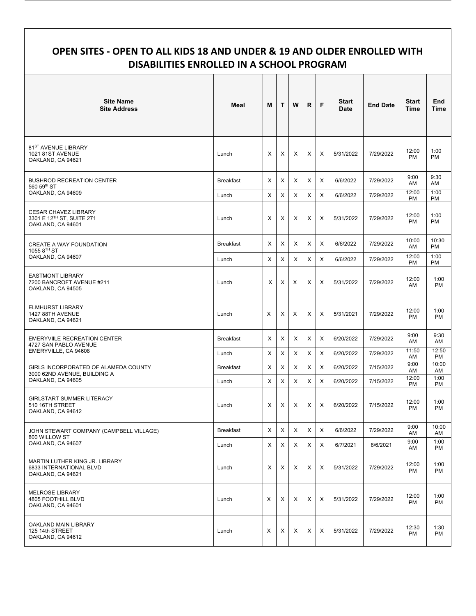#### **OPEN SITES - OPEN TO ALL KIDS 18 AND UNDER & 19 AND OLDER ENROLLED WITH DISABILITIES ENROLLED IN A SCHOOL PROGRAM**

| <b>Site Name</b><br><b>Site Address</b>                                                   | Meal             | M              | T              | W | R        | F              | <b>Start</b><br>Date | <b>End Date</b> | <b>Start</b><br><b>Time</b> | <b>End</b><br><b>Time</b> |
|-------------------------------------------------------------------------------------------|------------------|----------------|----------------|---|----------|----------------|----------------------|-----------------|-----------------------------|---------------------------|
| 81 <sup>ST</sup> AVENUE LIBRARY<br><b>1021 81ST AVENUE</b><br>OAKLAND, CA 94621           | Lunch            | X              | X              | X | X        | Χ              | 5/31/2022            | 7/29/2022       | 12:00<br><b>PM</b>          | 1:00<br><b>PM</b>         |
| <b>BUSHROD RECREATION CENTER</b><br>560 59th ST                                           | <b>Breakfast</b> | Χ              | X              | X | X        | Χ              | 6/6/2022             | 7/29/2022       | 9:00<br>AM                  | 9:30<br>AM                |
| OAKLAND, CA 94609                                                                         | Lunch            | $\pmb{\times}$ | $\pmb{\times}$ | X | X        | X              | 6/6/2022             | 7/29/2022       | 12:00<br>PM                 | 1:00<br><b>PM</b>         |
| <b>CESAR CHAVEZ LIBRARY</b><br>3301 E 12 <sup>TH</sup> ST, SUITE 271<br>OAKLAND, CA 94601 | Lunch            | X              | X              | Χ | X        | X              | 5/31/2022            | 7/29/2022       | 12:00<br><b>PM</b>          | 1:00<br><b>PM</b>         |
| CREATE A WAY FOUNDATION                                                                   | <b>Breakfast</b> | X              | X              | Χ | Χ        | X              | 6/6/2022             | 7/29/2022       | 10:00<br>AM                 | 10:30<br><b>PM</b>        |
| 1055 8 <sup>TH</sup> ST<br>OAKLAND, CA 94607                                              | Lunch            | $\times$       | X              | X | X        | X              | 6/6/2022             | 7/29/2022       | 12:00<br><b>PM</b>          | 1:00<br><b>PM</b>         |
| <b>EASTMONT LIBRARY</b><br>7200 BANCROFT AVENUE #211<br>OAKLAND, CA 94505                 | Lunch            | X              | X              | Х | X        | Χ              | 5/31/2022            | 7/29/2022       | 12:00<br>AM                 | 1:00<br><b>PM</b>         |
| <b>ELMHURST LIBRARY</b><br>1427 88TH AVENUE<br>OAKLAND, CA 94621                          | Lunch            | X              | X              | Х | X        | Χ              | 5/31/2021            | 7/29/2022       | 12:00<br><b>PM</b>          | 1:00<br><b>PM</b>         |
| <b>EMERYVIILE RECREATION CENTER</b><br>4727 SAN PABLO AVENUE                              | <b>Breakfast</b> | X              | X              | X | Χ        | X              | 6/20/2022            | 7/29/2022       | 9:00<br>AM                  | 9:30<br>AM                |
| EMERYVILLE, CA 94608                                                                      | Lunch            | $\times$       | $\pmb{\times}$ | X | X        | $\pmb{\times}$ | 6/20/2022            | 7/29/2022       | 11:50<br>AM                 | 12:50<br>PM               |
| GIRLS INCORPORATED OF ALAMEDA COUNTY<br>3000 62ND AVENUE, BUILDING A<br>OAKLAND, CA 94605 | <b>Breakfast</b> | $\times$       | X              | X | X        | X              | 6/20/2022            | 7/15/2022       | 9:00<br>AM                  | 10:00<br>AM               |
|                                                                                           | Lunch            | $\times$       | $\times$       | X | $\times$ | $\pmb{\times}$ | 6/20/2022            | 7/15/2022       | 12:00<br>PM                 | 1:00<br>PM                |
| <b>GIRLSTART SUMMER LITERACY</b><br>510 16TH STREET<br>OAKLAND, CA 94612                  | Lunch            | X              | X              | X | X        | X              | 6/20/2022            | 7/15/2022       | 12:00<br><b>PM</b>          | 1:00<br><b>PM</b>         |
| JOHN STEWART COMPANY (CAMPBELL VILLAGE)<br>800 WILLOW ST<br>OAKLAND, CA 94607             | <b>Breakfast</b> | X              | X              | х | X        | X              | 6/6/2022             | 7/29/2022       | 9:00<br>AM                  | 10:00<br>AM               |
|                                                                                           | Lunch            | X              | X              | X | X        | X              | 6/7/2021             | 8/6/2021        | 9:00<br>AM                  | 1:00<br>PM                |
| MARTIN LUTHER KING JR. LIBRARY<br>6833 INTERNATIONAL BLVD<br>OAKLAND, CA 94621            | Lunch            | X              | X              | X | X        | X              | 5/31/2022            | 7/29/2022       | 12:00<br>PM                 | 1:00<br>PM                |
| MELROSE LIBRARY<br>4805 FOOTHILL BLVD<br>OAKLAND, CA 94601                                | Lunch            | X              | X              | X | X        | X              | 5/31/2022            | 7/29/2022       | 12:00<br>PM                 | 1:00<br>PM                |
| OAKLAND MAIN LIBRARY<br>125 14th STREET<br>OAKLAND, CA 94612                              | Lunch            | X              | Х              | Χ | Χ        | X              | 5/31/2022            | 7/29/2022       | 12:30<br>PM                 | 1:30<br>PM                |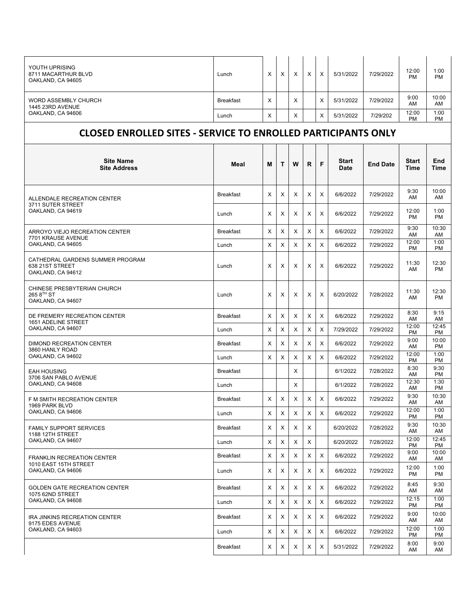| YOUTH UPRISING<br>8711 MACARTHUR BLVD<br>OAKLAND, CA 94605                      | Lunch            | X | X | X | X | X | 5/31/2022            | 7/29/2022       | 12:00<br><b>PM</b>   | 1:00<br>PM         |
|---------------------------------------------------------------------------------|------------------|---|---|---|---|---|----------------------|-----------------|----------------------|--------------------|
| <b>WORD ASSEMBLY CHURCH</b><br>1445 23RD AVENUE                                 | <b>Breakfast</b> | X |   | X |   | X | 5/31/2022            | 7/29/2022       | 9:00<br>AM           | 10:00<br>AM        |
| OAKLAND, CA 94606                                                               | Lunch            | X |   | Х |   | X | 5/31/2022            | 7/29/202        | 12:00<br><b>PM</b>   | 1:00<br>PM         |
| <b>CLOSED ENROLLED SITES - SERVICE TO ENROLLED PARTICIPANTS ONLY</b>            |                  |   |   |   |   |   |                      |                 |                      |                    |
| <b>Site Name</b><br><b>Site Address</b>                                         | Meal             | м | т | W | R | F | <b>Start</b><br>Date | <b>End Date</b> | <b>Start</b><br>Time | <b>End</b><br>Time |
| ALLENDALE RECREATION CENTER                                                     | <b>Breakfast</b> | X | X | X | X | X | 6/6/2022             | 7/29/2022       | 9:30<br>AM           | 10:00<br>AM        |
| 3711 SUTER STREET<br>OAKLAND, CA 94619                                          | Lunch            | Χ | X | Х | X | X | 6/6/2022             | 7/29/2022       | 12:00<br><b>PM</b>   | 1:00<br>PM         |
| ARROYO VIEJO RECREATION CENTER<br>7701 KRAUSE AVENUE                            | <b>Breakfast</b> | X | X | Х | X | X | 6/6/2022             | 7/29/2022       | 9:30<br>AM           | 10:30<br>AM        |
| OAKLAND, CA 94605                                                               | Lunch            | X | X | Х | X | X | 6/6/2022             | 7/29/2022       | 12:00<br><b>PM</b>   | 1:00<br>PM         |
| CATHEDRAL GARDENS SUMMER PROGRAM<br>638 21ST STREET<br>OAKLAND. CA 94612        | Lunch            | Х | X | х | X | X | 6/6/2022             | 7/29/2022       | 11:30<br>AM          | 12:30<br>PM        |
| CHINESE PRESBYTERIAN CHURCH<br>265 8 <sup>TH</sup> ST<br>OAKLAND, CA 94607      | Lunch            | X | X | X | X | X | 6/20/2022            | 7/28/2022       | 11:30<br>AM          | 12:30<br>PM        |
| DE FREMERY RECREATION CENTER<br>1651 ADELINE STREET                             | <b>Breakfast</b> | X | X | X | х | X | 6/6/2022             | 7/29/2022       | 8:30<br>AM           | 9:15<br>AM         |
| OAKLAND, CA 94607                                                               | Lunch            | X | X | Х | X | X | 7/29/2022            | 7/29/2022       | 12:00<br><b>PM</b>   | 12:45<br>PM        |
| <b>DIMOND RECREATION CENTER</b><br>3860 HANLY ROAD                              | <b>Breakfast</b> | Х | X | X | X | X | 6/6/2022             | 7/29/2022       | 9:00<br>AM           | 10:00<br><b>PM</b> |
| OAKLAND, CA 94602                                                               | Lunch            | X | X | X | X | X | 6/6/2022             | 7/29/2022       | 12:00<br><b>PM</b>   | 1:00<br>PM         |
| <b>EAH HOUSING</b><br>3706 SAN PABLO AVENUE<br>OAKLAND, CA 94608                | <b>Breakfast</b> |   |   | Х |   |   | 6/1/2022             | 7/28/2022       | 8:30<br>AM           | 9:30<br>PM         |
|                                                                                 | Lunch            |   |   | Х |   |   | 6/1/2022             | 7/28/2022       | 12:30<br>AM          | 1:30<br>PM         |
| F M SMITH RECREATION CENTER<br>1969 PARK BLVD<br>OAKLAND, CA 94606              | <b>Breakfast</b> | X | Х | X | X | X | 6/6/2022             | 7/29/2022       | 9:30<br>AM           | 10:30<br>AM        |
|                                                                                 | Lunch            | X | X | X | X | X | 6/6/2022             | 7/29/2022       | 12:00<br><b>PM</b>   | 1:00<br>PM         |
| <b>FAMILY SUPPORT SERVICES</b><br>1188 12TH STREET<br>OAKLAND, CA 94607         | <b>Breakfast</b> | Χ | Х | х | X |   | 6/20/2022            | 7/28/2022       | 9:30<br>AM           | 10:30<br>AM        |
|                                                                                 | Lunch            | X | X | Х | X |   | 6/20/2022            | 7/28/2022       | 12:00<br>PM          | 12:45<br>PM        |
| <b>FRANKLIN RECREATION CENTER</b><br>1010 EAST 15TH STREET<br>OAKLAND, CA 94606 | <b>Breakfast</b> | X | X | Х | X | X | 6/6/2022             | 7/29/2022       | 9:00<br>AM           | 10:00<br>AM        |
|                                                                                 | Lunch            | X | X | Х | X | X | 6/6/2022             | 7/29/2022       | 12:00<br><b>PM</b>   | 1:00<br>PM         |
| <b>GOLDEN GATE RECREATION CENTER</b><br>1075 62ND STREET<br>OAKLAND, CA 94608   | <b>Breakfast</b> | X | X | Х | X | X | 6/6/2022             | 7/29/2022       | 8:45<br>AM           | 9:30<br>AM         |
|                                                                                 | Lunch            | X | X | Х | X | X | 6/6/2022             | 7/29/2022       | 12:15<br>PM          | 1:00<br>PM         |
| IRA JINKINS RECREATION CENTER<br>9175 EDES AVENUE<br>OAKLAND, CA 94603          | <b>Breakfast</b> | Х | Χ | Х | X | X | 6/6/2022             | 7/29/2022       | 9:00<br>AM           | 10:00<br>AM        |
|                                                                                 | Lunch            | X | X | Х | X | X | 6/6/2022             | 7/29/2022       | 12:00<br><b>PM</b>   | 1:00<br><b>PM</b>  |
|                                                                                 | <b>Breakfast</b> | Х | X | X | X | X | 5/31/2022            | 7/29/2022       | 8:00<br>AM           | 9:00<br>AM         |